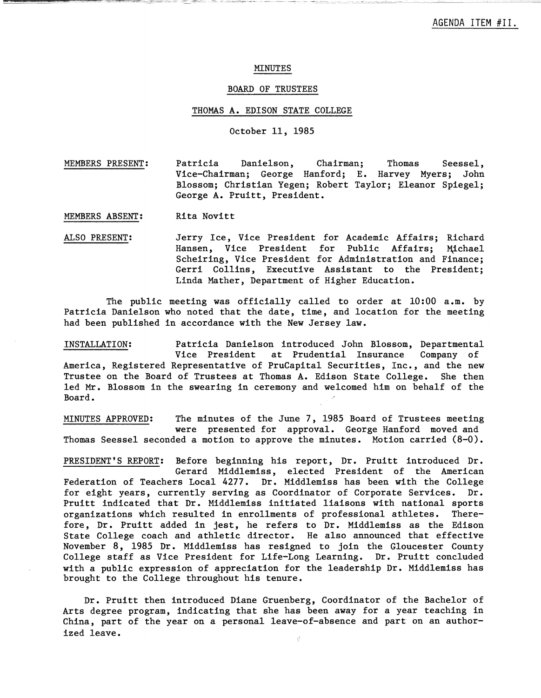#### MINUTES

## BOARD OF TRUSTEES

#### THOMAS A. EDISON STATE COLLEGE

# October 11, 1985

MEMBERS PRESENT: Patricia Danielson, Chairman; Thomas Vice-Chairman; George Hanford; E. Harvey Myers; John Blossom; Christian Yegen; Robert Taylor; Elea nor Spiegel; George A. Pruitt, President. Seesse1,

MEMBERS ABSENT: Rita Novitt

ALSO PRESENT: Jerry Ice, Vice President for Academic Affairs; Richard Hansen, Vice President for Public Affairs; Michael Scheiring, Vice President for Administration and Finance; Gerri Collins, Executive Assistant to the President; Linda Mather, Department of Higher Education.

The public meeting was officially called to order at 10:00 a.m. by Patricia Danielson who noted that the date, time, and location for the meeting had been published in accordance with the New Jersey law.

INSTALLATION: Patricia Danielson introduced John Blossom, Departmental Vice President at Prudential Insurance Company of America, Registered Representative of PruCapita1 Securities, Inc., and the new Trustee on the Board of Trustees at Thomas A. Edison State College. She then led Mr. Blossom in the swearing in ceremony and welcomed him on behalf of the Board.

MINUTES APPROVED: The minutes of the June 7, 1985 Board of Trustees meeting were presented for approval. George Hanford moved and Thomas Seessel seconded a motion to approve the minutes. Motion carried  $(8-0)$ .

PRESIDENT'S REPORT: Before beginning his report, Dr. Pruitt introduced Dr. Gerard Middlemiss, elected President of the American Federation of Teachers Local 4277. Dr. Middlemiss has been with the College for eight years, currently serving as Coordinator of Corporate Services. Dr. Pruitt indicated that Dr. Middlemiss initiated liaisons with national sports organizations which resulted in enrollments of professional athletes. Therefore, Dr. Pruitt added in jest, he refers to Dr. Middlemiss as the Edison State College coach and athletic director. He also announced that effective November 8, 1985 Dr. Middlemiss has resigned to join the Gloucester County College staff as Vice President for Life-Long Learning. Dr. Pruitt concluded with a public expression of appreciation for the leadership Dr. Middlemiss has brought to the College throughout his tenure.

Dr. Pruitt then introduced Diane Gruenberg, Coordinator of the Bachelor of Arts degree program, indicating that she has been away for a year teaching in China, part of the year on a personal 1eave-of-absence and part on an authorized leave.  $\frac{3}{2}$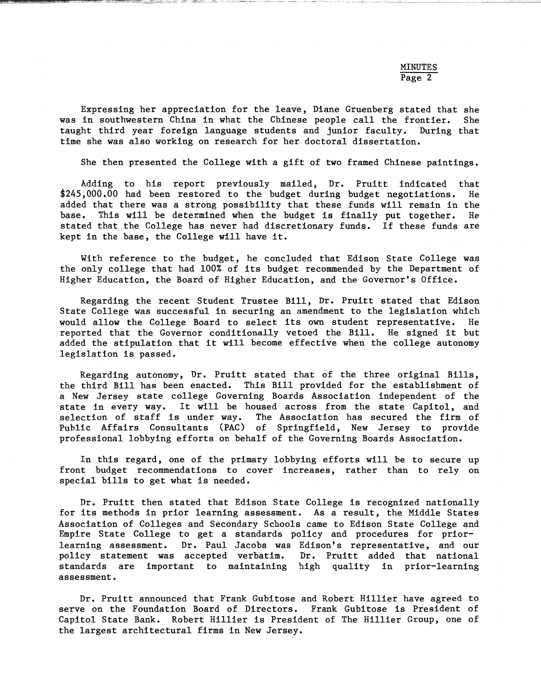Expressing her appreciation for the leave, Diane Gruenberg stated that she was in southwestern China in what the Chinese people call the frontier. She taught third year foreign language students and junior faculty. During that time she was also working on research for her doctoral dissertation.

She then presented the College with a gift of two framed Chinese paintings.

Adding to his report previously mailed, Dr. Pruitt indicated that \$245,000.00 had been restored to the budget during budget negotiations. He added that there was a strong possibility that these funds will remain in the base. This will be determined when the budget is finally put together. He stated that the College has never had discretionary funds. If these funds are kept in the base, the College will have it.

With reference to the budget, he concluded that Edison State College was the only college that had 100% of its budget recommended by the Department of Higher Education, the Board of Higher Education, and the Governor's Office.

Regarding the recent Student Trustee Bill, Dr. Pruitt stated that Edison State College was successful in securing an amendment to the legislation which would allow the College Board to select its own student representative. He reported that the Governor conditionally vetoed the Bill. He signed it but added the stipulation that it will become effective when the college autonomy legislation is passed.

Regarding autonomy, Dr. Pruitt stated that of the three original Bills, the third Bill has been enacted. This Bill provided for the establishment of a New Jersey state college Governing Boards Association independent of the state in every way. It will be housed across from the state Capitol, and selection of staff is under way. The Association has secured the firm of Public Affairs Consultants (PAC) of Springfield, New Jersey to provide professional lobbying efforts on behalf of the Governing Boards Association.

In this regard, one of the primary lobbying efforts will be to secure up front budget recommendations to cover increases, rather than to rely on special bills to get what is needed.

Dr. Pruitt then stated that Edison State College is recognized nationally for its methods in prior learning assessment. As a result, the Middle States Association of Colleges and Secondary Schools came to Edison State College and Empire State College to get a standards policy and procedures for priorlearning assessment. Dr. Paul Jacobs was Edison's representative, and our policy statement was accepted verbatim. Dr. Pruitt added that national standards are important to maintaining high quality in prior-learning assessment.

Dr. Pruitt announced that Frank Gubitose and Robert Hillier have agreed to serve on the Foundation Board of Directors. Frank Gubitose is President of Capitol State Bank. Robert Hillier is President of The Hillier Group, one of the largest architectural firms in New Jersey.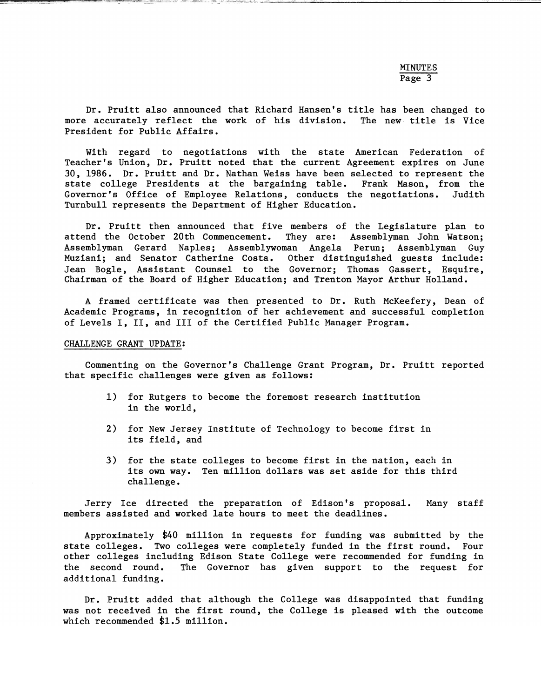Dr. Pruitt also announced that Richard Hansen's title has been changed to<br>e accurately reflect the work of his division. The new title is Vice more accurately reflect the work of his division. President for Public Affairs.

With regard to negotiations with the state American Federation of Teacher's Union, Dr. Pruitt noted that the current Agreement expires on June 30, 1986. Dr. Pruitt and Dr. Nathan Weiss have been selected to represent the state college Presidents at the bargaining table. Frank Mason, from the Governor's Office of Employee Relations, conducts the negotiations. Judith Turnbull represents the Department of Higher Education.

Dr. Pruitt then announced that five members of the Legislature plan to<br>nd the October 20th Commencement. They are: Assemblyman John Watson; attend the October 20th Commencement. Assemblyman Gerard Naples; Assemblywoman Angela Perun; Assemblyman Guy Muziani; and Senator Catherine Costa. Other distinguished guests include: Jean Bogle, Assistant Counsel to the Governor; Thomas Gassert, Esquire, Chairman of the Board of Higher Education; and Trenton Mayor Arthur Holland.

A framed certificate was then presented to Dr. Ruth McKeefery, Dean of Academic Programs, in recognition of her achievement and successful completion of Levels I, II, and III of the Certified Public Manager Program.

## CHALLENGE GRANT UPDATE:

Commenting on the Governor's Challenge Grant Program, Dr. Pruitt reported that specific challenges were given as follows:

- 1) for Rutgers to become the foremost research institution in the world,
- 2) for New Jersey Institute of Technology to become first in its field, and
- 3) for the state colleges to become first in the nation, each in its own way. Ten million dollars was set aside for this third challenge.

Jerry Ice directed the preparation of Edison's proposal. Many staff members assisted and worked late hours to meet the deadlines.

Approximately \$40 million in requests for funding was submitted by the state colleges. Two colleges were completely funded in the first round. Four other colleges including Edison State College were recommended for funding in the second round. The Governor has given support to the request for additional funding.

Dr. Pruitt added that although the College was disappointed that funding was not received in the first round, the College is pleased with the outcome which recommended \$1.5 million.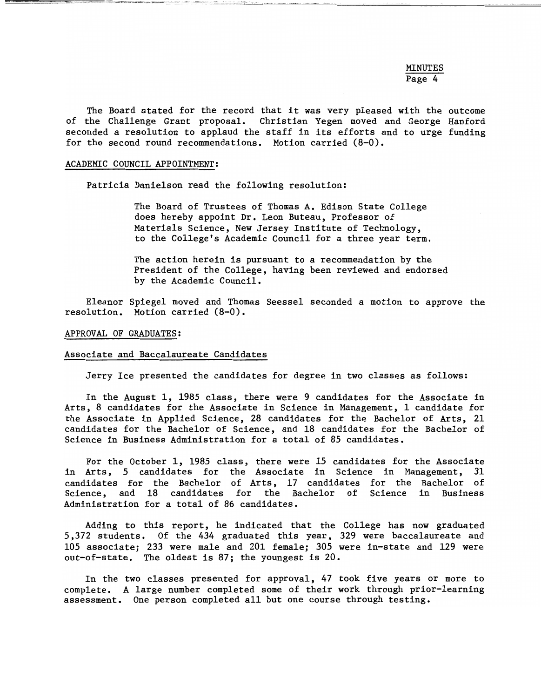MINUTES Page 4

The Board stated for the record that it was very pleased with the outcome of the Challenge Grant proposal. Christian Yegen moved and George Hanford seconded a resolution to applaud the staff in its efforts and to urge funding for the second round recommendations. Motion carried (8-0).

#### ACADEMIC COUNCIL APPOINTMENT:

Patricia Danielson read the following resolution:

The Board of Trustees of Thomas A. Edison State College does hereby appoint Dr. Leon Buteau, Professor of Materials Science, New Jersey Institute of Technology, to the College's Academic Council for a three year term.

The action herein is pursuant to a recommendation by the President of the College, having been reviewed and endorsed by the Academic Council.

Eleanor Spiegel moved and Thomas Seesse1 seconded a motion to approve the resolution. Motion carried (8-0).

### APPROVAL OF GRADUATES:

#### Associate and Baccalaureate Candidates

Jerry Ice presented the candidates for degree in two classes as follows:

In the August 1, 1985 class, there were 9 candidates for the Associate in Arts, 8 candidates for the Associate in Science in Management, 1 candidate for the Associate in Applied Science, 28 candidates for the Bachelor of Arts, 21 candidates for the Bachelor of Science, and 18 candidates for the Bachelor of Science in Business Administration for a total of 85 candidates.

For the October 1, 1985 class, there were 15 candidates for the Associate in Arts, 5 candidates for the Associate in Science in Management, 31 candidates for the Bachelor of Arts, 17 candidates for the Bachelor of Science, and 18 candidates for the Bachelor of Science in Business Administration for a total of 86 candidates.

Adding to this report, he indicated that the College has now graduated 5,372 students. Of the 434 graduated this year, 329 were baccalaureate and 105 associate; 233 were male and 201 female; 305 were in-state and 129 were out-of-state. The oldest is 87; the youngest is 20.

In the two classes presented for approval, 47 took five years or more to complete. A large number completed some of their work through prior-learning assessment. One person completed all but one course through testing.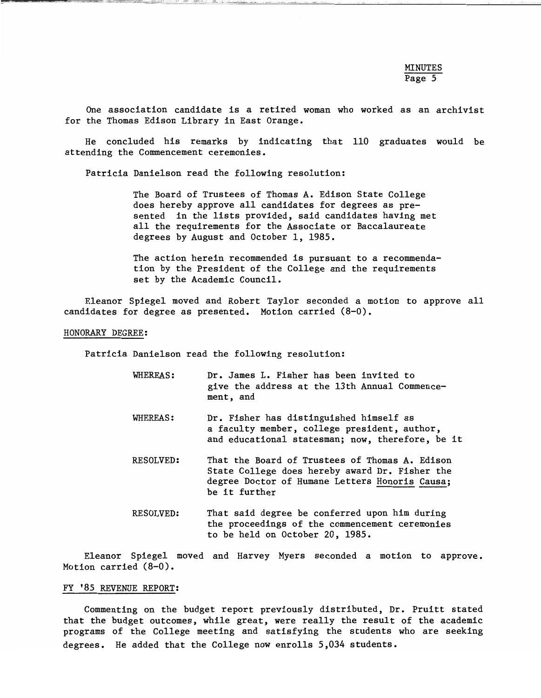--------- -"----~=-'--=---'------"--~~~----'-----~-----'-"'-----

One association candidate is a retired woman who worked as an archivist for the Thomas Edison Library in East Orange.

He concluded his remarks by indicating that 110 graduates would be attending the Commencement ceremonies.

Patricia Danielson read the following resolution:

The Board of Trustees of Thomas A. Edison State College does hereby approve all candidates for degrees as presented in the lists provided, said candidates having met all the requirements for the Associate or Baccalaureate degrees by August and October 1, 1985.

The action herein recommended is pursuant to a recommendation by the President of the College and the requirements set by the Academic Council.

Eleanor Spiegel moved and Robert Taylor seconded a motion to approve all candidates for degree as presented. Motion carried (8-0).

#### HONORARY DEGREE:

Patricia Danielson read the following resolution:

- WHEREAS: Dr. James L. Fisher has been invited to give the address at the 13th Annual Commencement, and
- WHEREAS: Dr. Fisher has distinguished himself as a faculty member, college president, author, and educational statesman; now, therefore, be it
- RESOLVED: That the Board of Trustees of Thomas A. Edison State College does hereby award Dr. Fisher the degree Doctor of Humane Letters Honoris Causa; be it further
- RESOLVED: That said degree be conferred upon him during the proceedings of the commencement ceremonies to be held on October 20, 1985.

Eleanor Spiegel moved and Harvey Myers seconded a motion to approve. Motion carried (8-0).

### FY '85 REVENUE REPORT:

Commenting on the budget report previously distributed, Dr. Pruitt stated that the budget outcomes, while great, were really the result of the academic programs of the College meeting and satisfying the students who are seeking degrees. He added that the College now enrolls 5,034 students.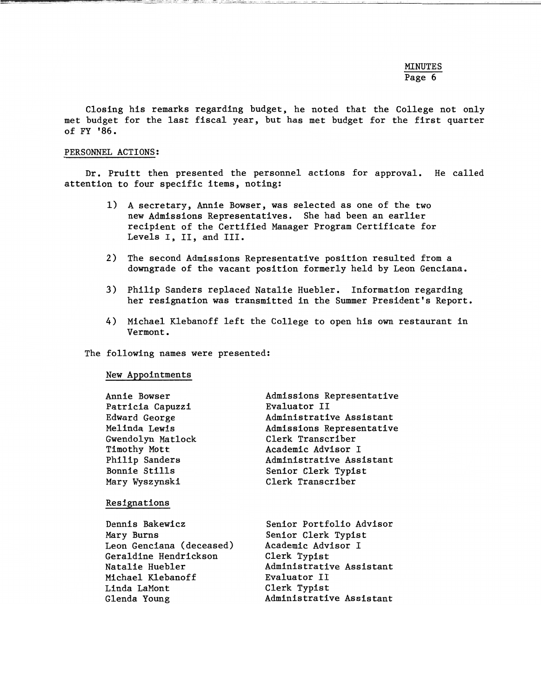# MINUTES Page 6

Closing his remarks regarding budget, he noted that the College not only met budget for the last fiscal year, but has met budget for the first quarter of FY '86.

## PERSONNEL ACTIONS:

Dr. Pruitt then presented the personnel actions for approval. He called attention to four specific items, noting:

- 1) A secretary, Annie Bowser, was selected as one of the two new Admissions Representatives. She had been an earlier recipient of the Certified Manager Program Certificate for Levels I, II, and III.
- 2) The second Admissions Representative position resulted from a downgrade of the vacant position formerly held by Leon Genciana.
- 3) Philip Sanders replaced Natalie Hueb1er. Information regarding her resignation was transmitted in the Summer President's Report.
- 4) Michael Klebanoff left the College to open his own restaurant in Vermont.

## The following names were presented:

## New Appointments

| Annie Bowser             | Admissions Representative |
|--------------------------|---------------------------|
| Patricia Capuzzi         | Evaluator II              |
| Edward George            | Administrative Assistant  |
| Melinda Lewis            | Admissions Representative |
| Gwendolyn Matlock        | Clerk Transcriber         |
| Timothy Mott             | Academic Advisor I        |
| Philip Sanders           | Administrative Assistant  |
| Bonnie Stills            | Senior Clerk Typist       |
| Mary Wyszynski           | Clerk Transcriber         |
|                          |                           |
| Resignations             |                           |
|                          |                           |
| Dennis Bakewicz          | Senior Portfolio Advisor  |
| Mary Burns               | Senior Clerk Typist       |
| Leon Genciana (deceased) | Academic Advisor I        |
| Geraldine Hendrickson    | Clerk Typist              |
| Natalie Huebler          | Administrative Assistant  |
| Michael Klebanoff        | Evaluator II              |
| Linda LaMont             | Clerk Typist              |
| Glenda Young             | Administrative Assistant  |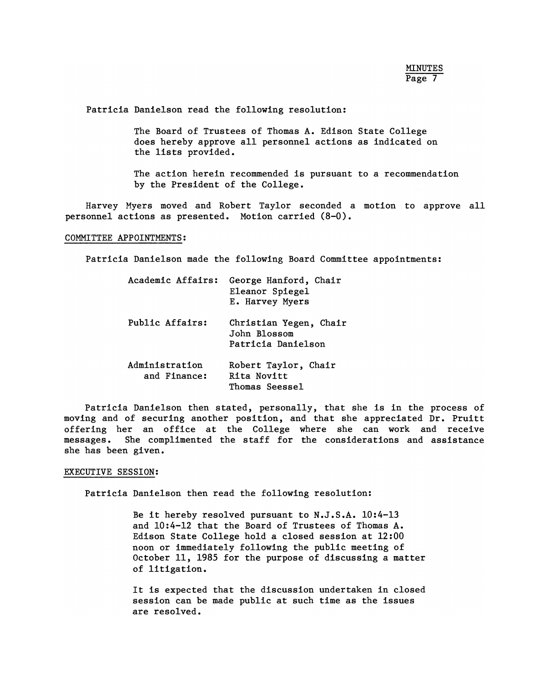Patricia Danielson read the following resolution:

The Board of Trustees of Thomas A. Edison State College does hereby approve all personnel actions as indicated on the lists provided.

The action herein recommended is pursuant to a recommendation by the President of the College.

Harvey Myers moved and Robert Taylor seconded a motion to approve all personnel actions as presented. Motion carried (8-0).

## COMMITTEE APPOINTMENTS:

Patricia Danielson made the following Board Committee appointments:

| Academic Affairs:              | George Hanford, Chair<br>Eleanor Spiegel<br>E. Harvey Myers  |
|--------------------------------|--------------------------------------------------------------|
| Public Affairs:                | Christian Yegen, Chair<br>John Blossom<br>Patricia Danielson |
| Administration<br>and Finance: | Robert Taylor, Chair<br>Rita Novitt<br>Thomas Seessel        |

Patricia Danielson then stated, personally, that she is in the process of moving and of securing another position, and that she appreciated Dr. Pruitt offering her an office at the College where she can work and receive messages. She complimented the staff for the considerations and assistance she has been given.

#### EXECUTIVE SESSION:

Patricia Danielson then read the following resolution:

Be it hereby resolved pursuant to N.J.S.A. 10:4-13 and 10:4-12 that the Board of Trustees of Thomas A. Edison State College hold a closed session at 12:00 noon or immediately following the public meeting of October 11, 1985 for the purpose of discussing a matter of litigation.

It is expected that the discussion undertaken in closed session can be made public at such time as the issues are resolved.